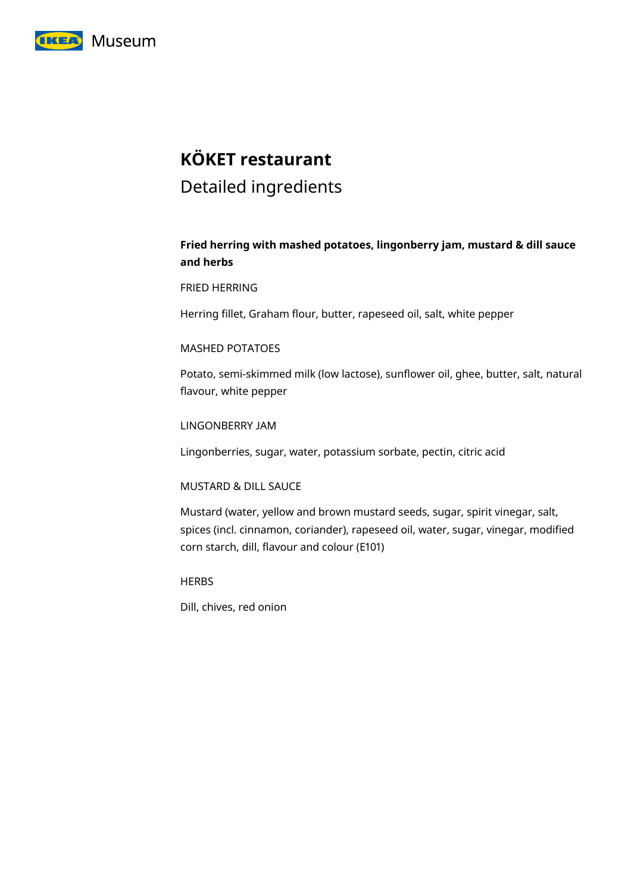

# **KÖKET restaurant**

# Detailed ingredients

# **Fried herring with mashed potatoes, lingonberry jam, mustard & dill sauce and herbs**

# FRIED HERRING

Herring fillet, Graham flour, butter, rapeseed oil, salt, white pepper

# MASHED POTATOES

Potato, semi-skimmed milk (low lactose), sunflower oil, ghee, butter, salt, natural flavour, white pepper

LINGONBERRY JAM

Lingonberries, sugar, water, potassium sorbate, pectin, citric acid

# MUSTARD & DILL SAUCE

Mustard (water, yellow and brown mustard seeds, sugar, spirit vinegar, salt, spices (incl. cinnamon, coriander), rapeseed oil, water, sugar, vinegar, modified corn starch, dill, flavour and colour (E101)

**HERBS** 

Dill, chives, red onion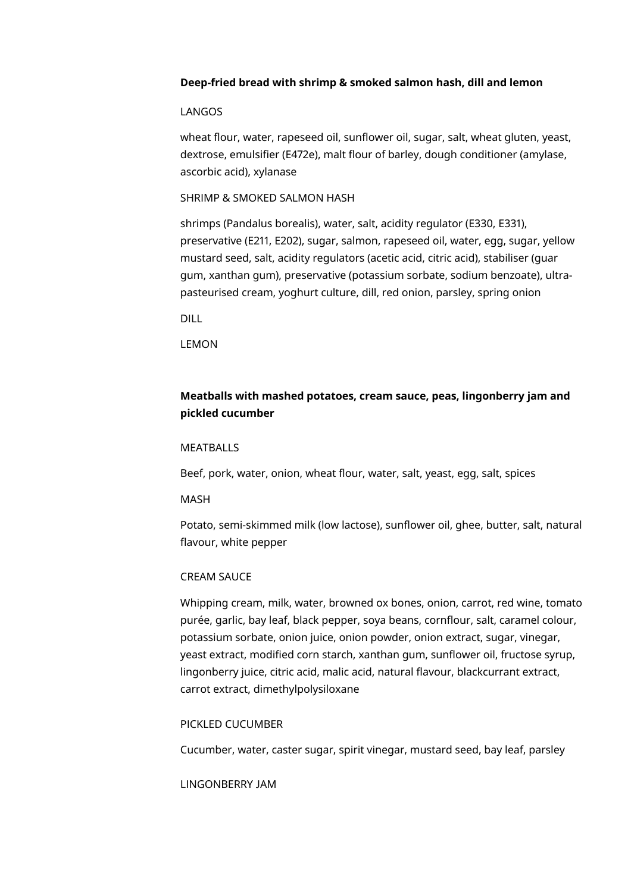# **Deep-fried bread with shrimp & smoked salmon hash, dill and lemon**

# LANGOS

wheat flour, water, rapeseed oil, sunflower oil, sugar, salt, wheat gluten, yeast, dextrose, emulsifier (E472e), malt flour of barley, dough conditioner (amylase, ascorbic acid), xylanase

# SHRIMP & SMOKED SALMON HASH

shrimps (Pandalus borealis), water, salt, acidity regulator (E330, E331), preservative (E211, E202), sugar, salmon, rapeseed oil, water, egg, sugar, yellow mustard seed, salt, acidity regulators (acetic acid, citric acid), stabiliser (guar gum, xanthan gum), preservative (potassium sorbate, sodium benzoate), ultrapasteurised cream, yoghurt culture, dill, red onion, parsley, spring onion

DILL

LEMON

# **Meatballs with mashed potatoes, cream sauce, peas, lingonberry jam and pickled cucumber**

# MEATBALLS

Beef, pork, water, onion, wheat flour, water, salt, yeast, egg, salt, spices

#### MASH

Potato, semi-skimmed milk (low lactose), sunflower oil, ghee, butter, salt, natural flavour, white pepper

# CREAM SAUCE

Whipping cream, milk, water, browned ox bones, onion, carrot, red wine, tomato purée, garlic, bay leaf, black pepper, soya beans, cornflour, salt, caramel colour, potassium sorbate, onion juice, onion powder, onion extract, sugar, vinegar, yeast extract, modified corn starch, xanthan gum, sunflower oil, fructose syrup, lingonberry juice, citric acid, malic acid, natural flavour, blackcurrant extract, carrot extract, dimethylpolysiloxane

# PICKLED CUCUMBER

Cucumber, water, caster sugar, spirit vinegar, mustard seed, bay leaf, parsley

LINGONBERRY JAM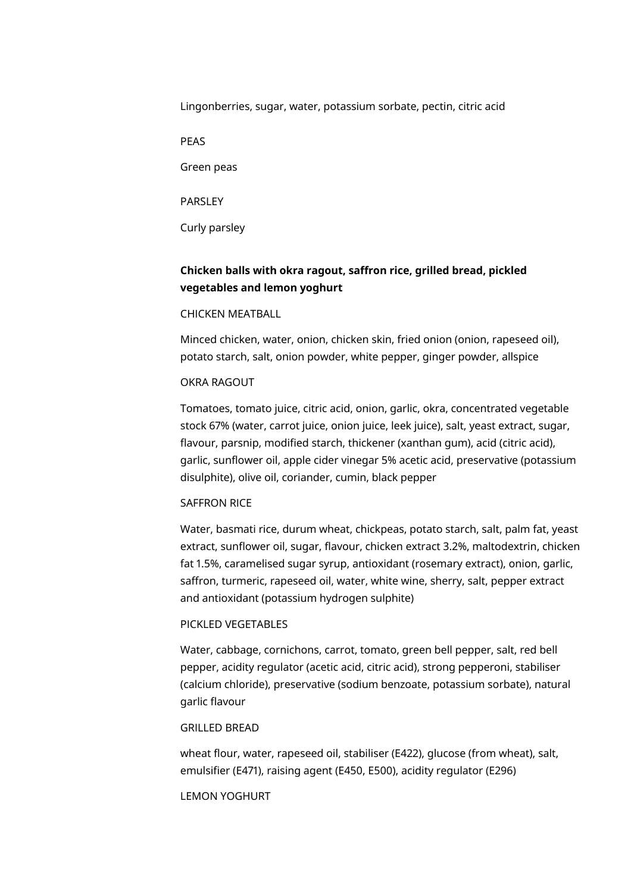Lingonberries, sugar, water, potassium sorbate, pectin, citric acid

PEAS

Green peas

PARSLEY

Curly parsley

# **Chicken balls with okra ragout, saffron rice, grilled bread, pickled vegetables and lemon yoghurt**

# CHICKEN MEATBALL

Minced chicken, water, onion, chicken skin, fried onion (onion, rapeseed oil), potato starch, salt, onion powder, white pepper, ginger powder, allspice

# OKRA RAGOUT

Tomatoes, tomato juice, citric acid, onion, garlic, okra, concentrated vegetable stock 67% (water, carrot juice, onion juice, leek juice), salt, yeast extract, sugar, flavour, parsnip, modified starch, thickener (xanthan gum), acid (citric acid), garlic, sunflower oil, apple cider vinegar 5% acetic acid, preservative (potassium disulphite), olive oil, coriander, cumin, black pepper

# SAFFRON RICE

Water, basmati rice, durum wheat, chickpeas, potato starch, salt, palm fat, yeast extract, sunflower oil, sugar, flavour, chicken extract 3.2%, maltodextrin, chicken fat 1.5%, caramelised sugar syrup, antioxidant (rosemary extract), onion, garlic, saffron, turmeric, rapeseed oil, water, white wine, sherry, salt, pepper extract and antioxidant (potassium hydrogen sulphite)

# PICKLED VEGETABLES

Water, cabbage, cornichons, carrot, tomato, green bell pepper, salt, red bell pepper, acidity regulator (acetic acid, citric acid), strong pepperoni, stabiliser (calcium chloride), preservative (sodium benzoate, potassium sorbate), natural garlic flavour

# GRILLED BREAD

wheat flour, water, rapeseed oil, stabiliser (E422), glucose (from wheat), salt, emulsifier (E471), raising agent (E450, E500), acidity regulator (E296)

# LEMON YOGHURT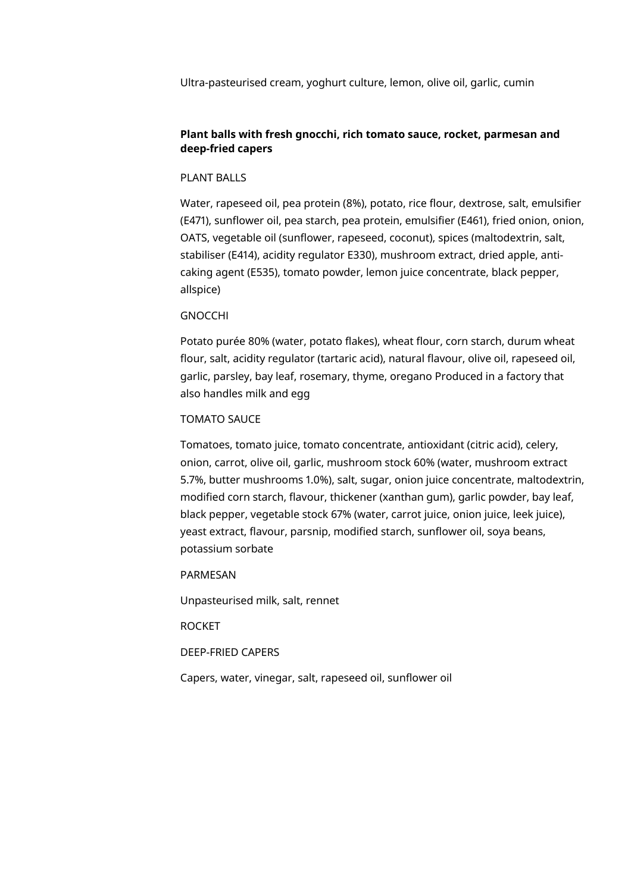Ultra-pasteurised cream, yoghurt culture, lemon, olive oil, garlic, cumin

# **Plant balls with fresh gnocchi, rich tomato sauce, rocket, parmesan and deep-fried capers**

# PLANT BALLS

Water, rapeseed oil, pea protein (8%), potato, rice flour, dextrose, salt, emulsifier (E471), sunflower oil, pea starch, pea protein, emulsifier (E461), fried onion, onion, OATS, vegetable oil (sunflower, rapeseed, coconut), spices (maltodextrin, salt, stabiliser (E414), acidity regulator E330), mushroom extract, dried apple, anticaking agent (E535), tomato powder, lemon juice concentrate, black pepper, allspice)

#### GNOCCHI

Potato purée 80% (water, potato flakes), wheat flour, corn starch, durum wheat flour, salt, acidity regulator (tartaric acid), natural flavour, olive oil, rapeseed oil, garlic, parsley, bay leaf, rosemary, thyme, oregano Produced in a factory that also handles milk and egg

#### TOMATO SAUCE

Tomatoes, tomato juice, tomato concentrate, antioxidant (citric acid), celery, onion, carrot, olive oil, garlic, mushroom stock 60% (water, mushroom extract 5.7%, butter mushrooms 1.0%), salt, sugar, onion juice concentrate, maltodextrin, modified corn starch, flavour, thickener (xanthan gum), garlic powder, bay leaf, black pepper, vegetable stock 67% (water, carrot juice, onion juice, leek juice), yeast extract, flavour, parsnip, modified starch, sunflower oil, soya beans, potassium sorbate

PARMESAN

Unpasteurised milk, salt, rennet

ROCKET

DEEP-FRIED CAPERS

Capers, water, vinegar, salt, rapeseed oil, sunflower oil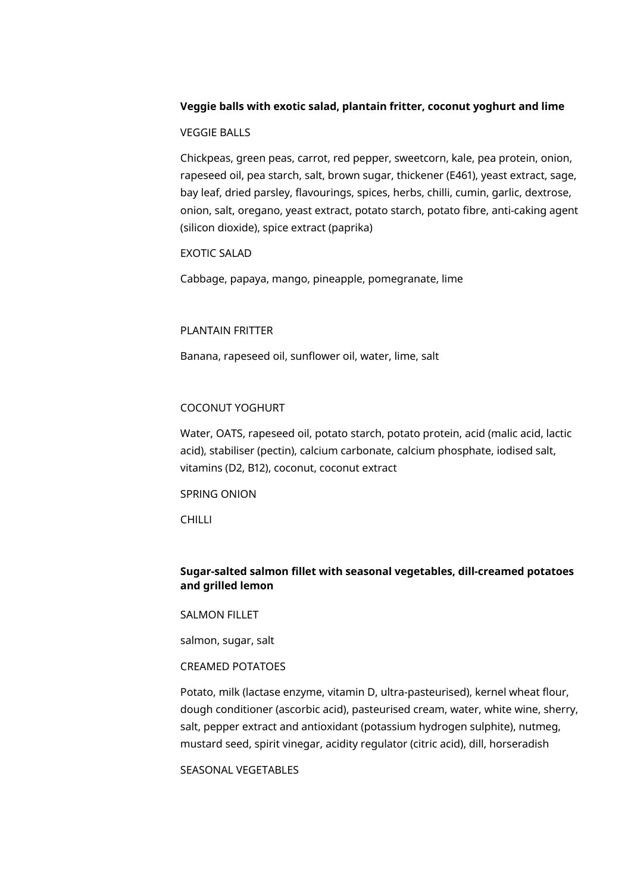# **Veggie balls with exotic salad, plantain fritter, coconut yoghurt and lime**

# VEGGIE BALLS

Chickpeas, green peas, carrot, red pepper, sweetcorn, kale, pea protein, onion, rapeseed oil, pea starch, salt, brown sugar, thickener (E461), yeast extract, sage, bay leaf, dried parsley, flavourings, spices, herbs, chilli, cumin, garlic, dextrose, onion, salt, oregano, yeast extract, potato starch, potato fibre, anti-caking agent (silicon dioxide), spice extract (paprika)

# EXOTIC SALAD

Cabbage, papaya, mango, pineapple, pomegranate, lime

## PLANTAIN FRITTER

Banana, rapeseed oil, sunflower oil, water, lime, salt

# COCONUT YOGHURT

Water, OATS, rapeseed oil, potato starch, potato protein, acid (malic acid, lactic acid), stabiliser (pectin), calcium carbonate, calcium phosphate, iodised salt, vitamins (D2, B12), coconut, coconut extract

SPRING ONION

CHILLI

# **Sugar-salted salmon fillet with seasonal vegetables, dill-creamed potatoes and grilled lemon**

SALMON FILLET

salmon, sugar, salt

# CREAMED POTATOES

Potato, milk (lactase enzyme, vitamin D, ultra-pasteurised), kernel wheat flour, dough conditioner (ascorbic acid), pasteurised cream, water, white wine, sherry, salt, pepper extract and antioxidant (potassium hydrogen sulphite), nutmeg, mustard seed, spirit vinegar, acidity regulator (citric acid), dill, horseradish

SEASONAL VEGETABLES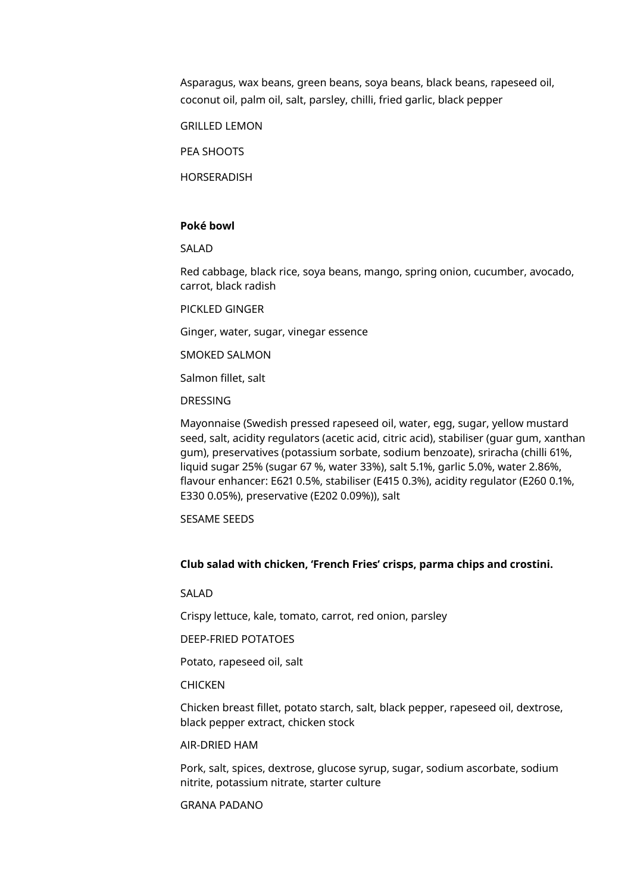Asparagus, wax beans, green beans, soya beans, black beans, rapeseed oil, coconut oil, palm oil, salt, parsley, chilli, fried garlic, black pepper

GRILLED LEMON

PEA SHOOTS

HORSERADISH

# **Poké bowl**

SALAD

Red cabbage, black rice, soya beans, mango, spring onion, cucumber, avocado, carrot, black radish

PICKLED GINGER

Ginger, water, sugar, vinegar essence

SMOKED SALMON

Salmon fillet, salt

# DRESSING

Mayonnaise (Swedish pressed rapeseed oil, water, egg, sugar, yellow mustard seed, salt, acidity regulators (acetic acid, citric acid), stabiliser (guar gum, xanthan gum), preservatives (potassium sorbate, sodium benzoate), sriracha (chilli 61%, liquid sugar 25% (sugar 67 %, water 33%), salt 5.1%, garlic 5.0%, water 2.86%, flavour enhancer: E621 0.5%, stabiliser (E415 0.3%), acidity regulator (E260 0.1%, E330 0.05%), preservative (E202 0.09%)), salt

SESAME SEEDS

# **Club salad with chicken, 'French Fries' crisps, parma chips and crostini.**

SALAD

Crispy lettuce, kale, tomato, carrot, red onion, parsley

DEEP-FRIED POTATOES

Potato, rapeseed oil, salt

# **CHICKEN**

Chicken breast fillet, potato starch, salt, black pepper, rapeseed oil, dextrose, black pepper extract, chicken stock

## AIR-DRIED HAM

Pork, salt, spices, dextrose, glucose syrup, sugar, sodium ascorbate, sodium nitrite, potassium nitrate, starter culture

GRANA PADANO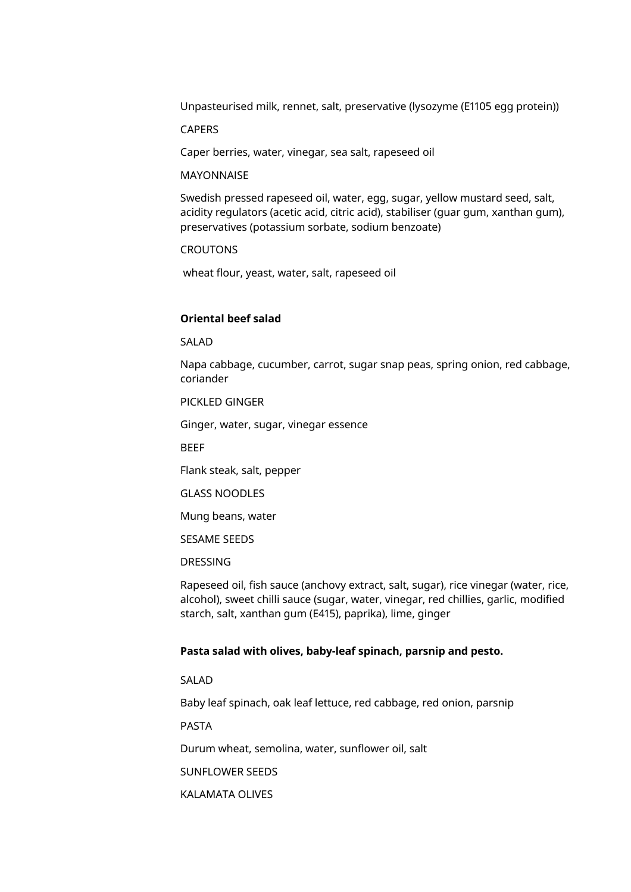Unpasteurised milk, rennet, salt, preservative (lysozyme (E1105 egg protein))

CAPERS

Caper berries, water, vinegar, sea salt, rapeseed oil

#### MAYONNAISE

Swedish pressed rapeseed oil, water, egg, sugar, yellow mustard seed, salt, acidity regulators (acetic acid, citric acid), stabiliser (guar gum, xanthan gum), preservatives (potassium sorbate, sodium benzoate)

**CROUTONS** 

wheat flour, yeast, water, salt, rapeseed oil

# **Oriental beef salad**

SALAD

Napa cabbage, cucumber, carrot, sugar snap peas, spring onion, red cabbage, coriander

PICKLED GINGER

Ginger, water, sugar, vinegar essence

**BEFF** 

Flank steak, salt, pepper

GLASS NOODLES

Mung beans, water

SESAME SEEDS

DRESSING

Rapeseed oil, fish sauce (anchovy extract, salt, sugar), rice vinegar (water, rice, alcohol), sweet chilli sauce (sugar, water, vinegar, red chillies, garlic, modified starch, salt, xanthan gum (E415), paprika), lime, ginger

#### **Pasta salad with olives, baby-leaf spinach, parsnip and pesto.**

SALAD

Baby leaf spinach, oak leaf lettuce, red cabbage, red onion, parsnip

PASTA

Durum wheat, semolina, water, sunflower oil, salt

SUNFLOWER SEEDS

KALAMATA OLIVES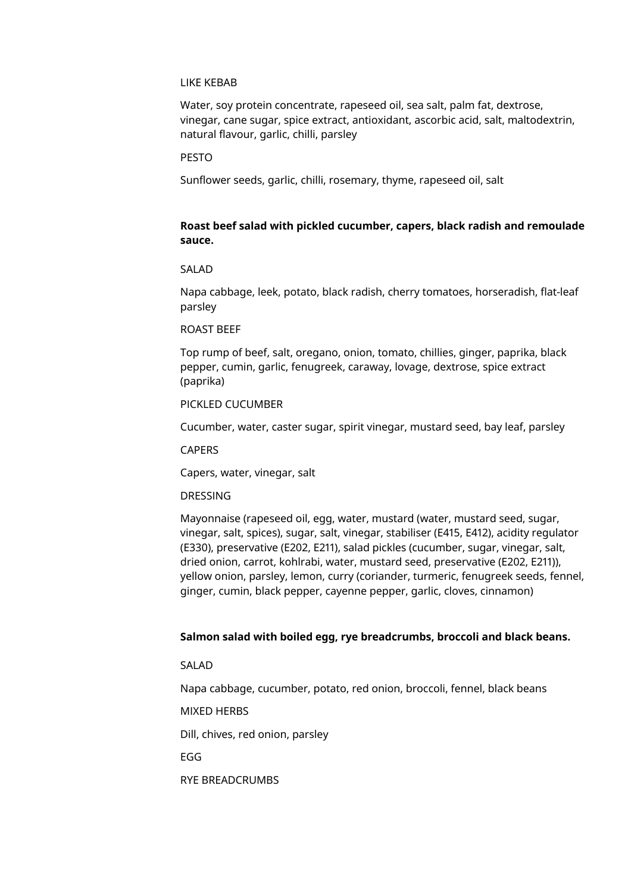#### LIKE KEBAB

Water, soy protein concentrate, rapeseed oil, sea salt, palm fat, dextrose, vinegar, cane sugar, spice extract, antioxidant, ascorbic acid, salt, maltodextrin, natural flavour, garlic, chilli, parsley

# PESTO

Sunflower seeds, garlic, chilli, rosemary, thyme, rapeseed oil, salt

# **Roast beef salad with pickled cucumber, capers, black radish and remoulade sauce.**

# SALAD

Napa cabbage, leek, potato, black radish, cherry tomatoes, horseradish, flat-leaf parsley

#### ROAST BEEF

Top rump of beef, salt, oregano, onion, tomato, chillies, ginger, paprika, black pepper, cumin, garlic, fenugreek, caraway, lovage, dextrose, spice extract (paprika)

# PICKLED CUCUMBER

Cucumber, water, caster sugar, spirit vinegar, mustard seed, bay leaf, parsley

**CAPERS** 

Capers, water, vinegar, salt

# DRESSING

Mayonnaise (rapeseed oil, egg, water, mustard (water, mustard seed, sugar, vinegar, salt, spices), sugar, salt, vinegar, stabiliser (E415, E412), acidity regulator (E330), preservative (E202, E211), salad pickles (cucumber, sugar, vinegar, salt, dried onion, carrot, kohlrabi, water, mustard seed, preservative (E202, E211)), yellow onion, parsley, lemon, curry (coriander, turmeric, fenugreek seeds, fennel, ginger, cumin, black pepper, cayenne pepper, garlic, cloves, cinnamon)

#### **Salmon salad with boiled egg, rye breadcrumbs, broccoli and black beans.**

SALAD

Napa cabbage, cucumber, potato, red onion, broccoli, fennel, black beans

MIXED HERBS

Dill, chives, red onion, parsley

EGG

RYE BREADCRUMBS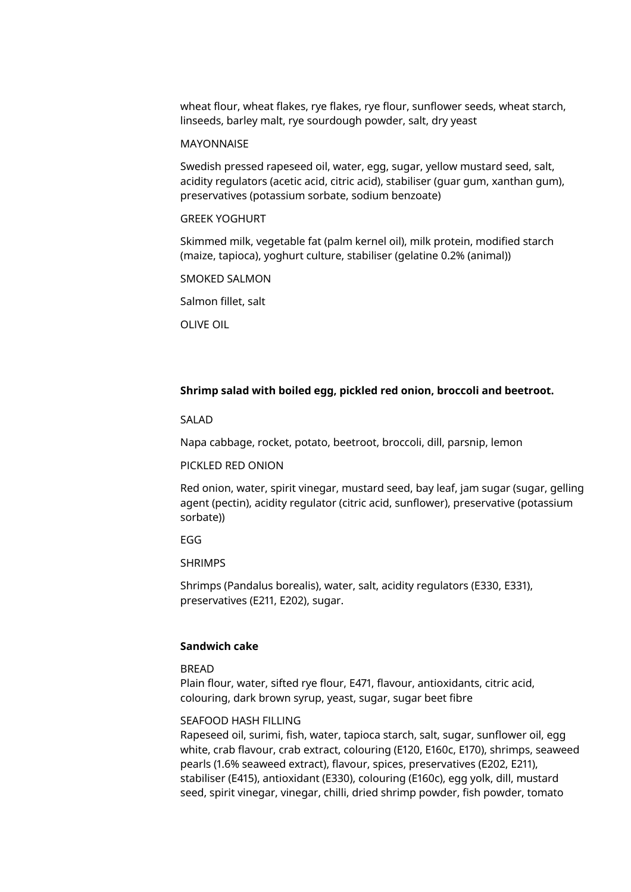wheat flour, wheat flakes, rye flakes, rye flour, sunflower seeds, wheat starch, linseeds, barley malt, rye sourdough powder, salt, dry yeast

#### **MAYONNAISE**

Swedish pressed rapeseed oil, water, egg, sugar, yellow mustard seed, salt, acidity regulators (acetic acid, citric acid), stabiliser (guar gum, xanthan gum), preservatives (potassium sorbate, sodium benzoate)

# GREEK YOGHURT

Skimmed milk, vegetable fat (palm kernel oil), milk protein, modified starch (maize, tapioca), yoghurt culture, stabiliser (gelatine 0.2% (animal))

SMOKED SALMON

Salmon fillet, salt

OLIVE OIL

# **Shrimp salad with boiled egg, pickled red onion, broccoli and beetroot.**

#### SALAD

Napa cabbage, rocket, potato, beetroot, broccoli, dill, parsnip, lemon

#### PICKLED RED ONION

Red onion, water, spirit vinegar, mustard seed, bay leaf, jam sugar (sugar, gelling agent (pectin), acidity regulator (citric acid, sunflower), preservative (potassium sorbate))

EGG

# SHRIMPS

Shrimps (Pandalus borealis), water, salt, acidity regulators (E330, E331), preservatives (E211, E202), sugar.

# **Sandwich cake**

#### **BREAD**

Plain flour, water, sifted rye flour, E471, flavour, antioxidants, citric acid, colouring, dark brown syrup, yeast, sugar, sugar beet fibre

#### SEAFOOD HASH FILLING

Rapeseed oil, surimi, fish, water, tapioca starch, salt, sugar, sunflower oil, egg white, crab flavour, crab extract, colouring (E120, E160c, E170), shrimps, seaweed pearls (1.6% seaweed extract), flavour, spices, preservatives (E202, E211), stabiliser (E415), antioxidant (E330), colouring (E160c), egg yolk, dill, mustard seed, spirit vinegar, vinegar, chilli, dried shrimp powder, fish powder, tomato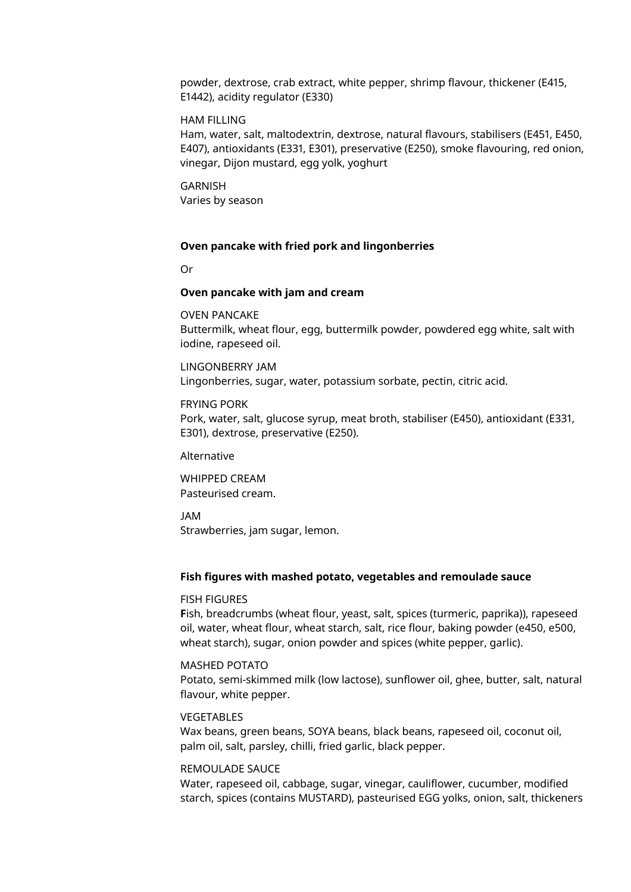powder, dextrose, crab extract, white pepper, shrimp flavour, thickener (E415, E1442), acidity regulator (E330)

# HAM FILLING

Ham, water, salt, maltodextrin, dextrose, natural flavours, stabilisers (E451, E450, E407), antioxidants (E331, E301), preservative (E250), smoke flavouring, red onion, vinegar, Dijon mustard, egg yolk, yoghurt

GARNISH Varies by season

#### **Oven pancake with fried pork and lingonberries**

Or

#### **Oven pancake with jam and cream**

OVEN PANCAKE Buttermilk, wheat flour, egg, buttermilk powder, powdered egg white, salt with iodine, rapeseed oil.

LINGONBERRY JAM Lingonberries, sugar, water, potassium sorbate, pectin, citric acid.

#### FRYING PORK

Pork, water, salt, glucose syrup, meat broth, stabiliser (E450), antioxidant (E331, E301), dextrose, preservative (E250).

#### Alternative

WHIPPED CREAM Pasteurised cream.

JAM Strawberries, jam sugar, lemon.

#### **Fish figures with mashed potato, vegetables and remoulade sauce**

#### FISH FIGURES

**F**ish, breadcrumbs (wheat flour, yeast, salt, spices (turmeric, paprika)), rapeseed oil, water, wheat flour, wheat starch, salt, rice flour, baking powder (e450, e500, wheat starch), sugar, onion powder and spices (white pepper, garlic).

#### MASHED POTATO

Potato, semi-skimmed milk (low lactose), sunflower oil, ghee, butter, salt, natural flavour, white pepper.

#### VEGETABLES

Wax beans, green beans, SOYA beans, black beans, rapeseed oil, coconut oil, palm oil, salt, parsley, chilli, fried garlic, black pepper.

# REMOULADE SAUCE

Water, rapeseed oil, cabbage, sugar, vinegar, cauliflower, cucumber, modified starch, spices (contains MUSTARD), pasteurised EGG yolks, onion, salt, thickeners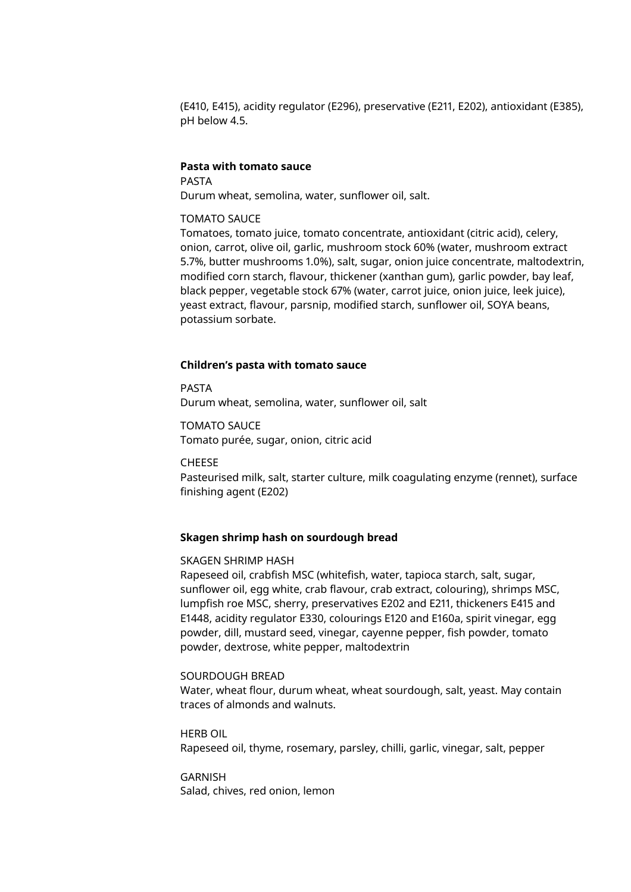(E410, E415), acidity regulator (E296), preservative (E211, E202), antioxidant (E385), pH below 4.5.

# **Pasta with tomato sauce**

PASTA Durum wheat, semolina, water, sunflower oil, salt.

# TOMATO SAUCE

Tomatoes, tomato juice, tomato concentrate, antioxidant (citric acid), celery, onion, carrot, olive oil, garlic, mushroom stock 60% (water, mushroom extract 5.7%, butter mushrooms 1.0%), salt, sugar, onion juice concentrate, maltodextrin, modified corn starch, flavour, thickener (xanthan gum), garlic powder, bay leaf, black pepper, vegetable stock 67% (water, carrot juice, onion juice, leek juice), yeast extract, flavour, parsnip, modified starch, sunflower oil, SOYA beans, potassium sorbate.

#### **Children's pasta with tomato sauce**

PASTA Durum wheat, semolina, water, sunflower oil, salt

TOMATO SAUCE Tomato purée, sugar, onion, citric acid

CHEESE

Pasteurised milk, salt, starter culture, milk coagulating enzyme (rennet), surface finishing agent (E202)

# **Skagen shrimp hash on sourdough bread**

#### SKAGEN SHRIMP HASH

Rapeseed oil, crabfish MSC (whitefish, water, tapioca starch, salt, sugar, sunflower oil, egg white, crab flavour, crab extract, colouring), shrimps MSC, lumpfish roe MSC, sherry, preservatives E202 and E211, thickeners E415 and E1448, acidity regulator E330, colourings E120 and E160a, spirit vinegar, egg powder, dill, mustard seed, vinegar, cayenne pepper, fish powder, tomato powder, dextrose, white pepper, maltodextrin

#### SOURDOUGH BREAD

Water, wheat flour, durum wheat, wheat sourdough, salt, yeast. May contain traces of almonds and walnuts.

HERB OIL Rapeseed oil, thyme, rosemary, parsley, chilli, garlic, vinegar, salt, pepper

GARNISH Salad, chives, red onion, lemon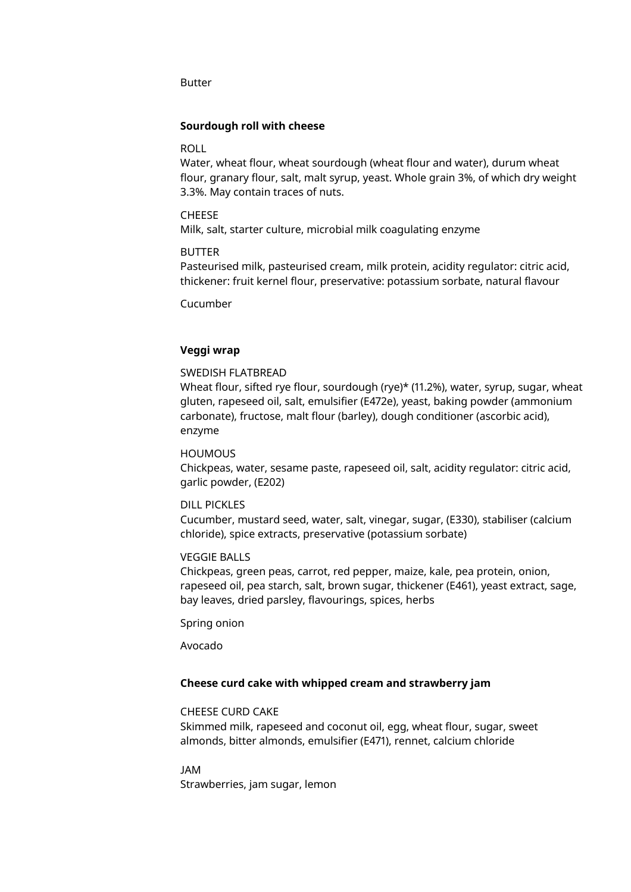Butter

# **Sourdough roll with cheese**

#### ROLL

Water, wheat flour, wheat sourdough (wheat flour and water), durum wheat flour, granary flour, salt, malt syrup, yeast. Whole grain 3%, of which dry weight 3.3%. May contain traces of nuts.

# CHEESE

Milk, salt, starter culture, microbial milk coagulating enzyme

#### BUTTER

Pasteurised milk, pasteurised cream, milk protein, acidity regulator: citric acid, thickener: fruit kernel flour, preservative: potassium sorbate, natural flavour

Cucumber

# **Veggi wrap**

#### SWEDISH FLATBREAD

Wheat flour, sifted rye flour, sourdough (rye)\* (11.2%), water, syrup, sugar, wheat gluten, rapeseed oil, salt, emulsifier (E472e), yeast, baking powder (ammonium carbonate), fructose, malt flour (barley), dough conditioner (ascorbic acid), enzyme

# **HOUMOUS**

Chickpeas, water, sesame paste, rapeseed oil, salt, acidity regulator: citric acid, garlic powder, (E202)

#### DILL PICKLES

Cucumber, mustard seed, water, salt, vinegar, sugar, (E330), stabiliser (calcium chloride), spice extracts, preservative (potassium sorbate)

# VEGGIE BALLS

Chickpeas, green peas, carrot, red pepper, maize, kale, pea protein, onion, rapeseed oil, pea starch, salt, brown sugar, thickener (E461), yeast extract, sage, bay leaves, dried parsley, flavourings, spices, herbs

Spring onion

Avocado

#### **Cheese curd cake with whipped cream and strawberry jam**

# CHEESE CURD CAKE

Skimmed milk, rapeseed and coconut oil, egg, wheat flour, sugar, sweet almonds, bitter almonds, emulsifier (E471), rennet, calcium chloride

JAM

Strawberries, jam sugar, lemon